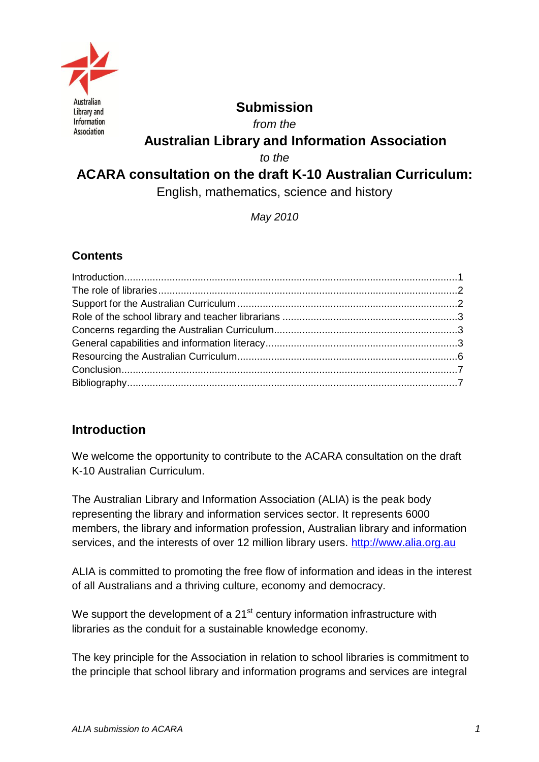

### **Submission**

*from the*

# **Australian Library and Information Association**

*to the*

# **ACARA consultation on the draft K-10 Australian Curriculum:**

English, mathematics, science and history

*May 2010* 

#### **Contents**

# <span id="page-0-0"></span>**Introduction**

We welcome the opportunity to contribute to the ACARA consultation on the draft K-10 Australian Curriculum.

The Australian Library and Information Association (ALIA) is the peak body representing the library and information services sector. It represents 6000 members, the library and information profession, Australian library and information services, and the interests of over 12 million library users. [http://www.alia.org.au](http://www.alia.org.au/)

ALIA is committed to promoting the free flow of information and ideas in the interest of all Australians and a thriving culture, economy and democracy.

We support the development of a  $21<sup>st</sup>$  century information infrastructure with libraries as the conduit for a sustainable knowledge economy.

The key principle for the Association in relation to school libraries is commitment to the principle that school library and information programs and services are integral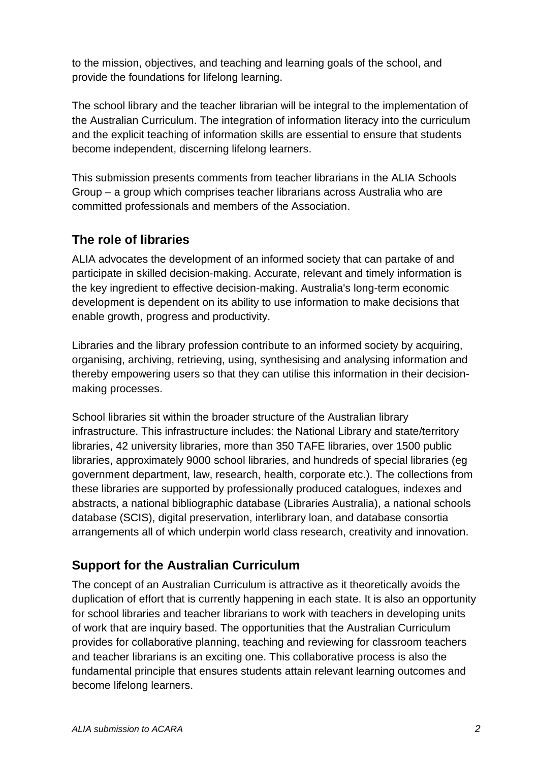to the mission, objectives, and teaching and learning goals of the school, and provide the foundations for lifelong learning.

The school library and the teacher librarian will be integral to the implementation of the Australian Curriculum. The integration of information literacy into the curriculum and the explicit teaching of information skills are essential to ensure that students become independent, discerning lifelong learners.

This submission presents comments from teacher librarians in the ALIA Schools Group – a group which comprises teacher librarians across Australia who are committed professionals and members of the Association.

### <span id="page-1-0"></span>**The role of libraries**

ALIA advocates the development of an informed society that can partake of and participate in skilled decision-making. Accurate, relevant and timely information is the key ingredient to effective decision-making. Australia's long-term economic development is dependent on its ability to use information to make decisions that enable growth, progress and productivity.

Libraries and the library profession contribute to an informed society by acquiring, organising, archiving, retrieving, using, synthesising and analysing information and thereby empowering users so that they can utilise this information in their decisionmaking processes.

School libraries sit within the broader structure of the Australian library infrastructure. This infrastructure includes: the National Library and state/territory libraries, 42 university libraries, more than 350 TAFE libraries, over 1500 public libraries, approximately 9000 school libraries, and hundreds of special libraries (eg government department, law, research, health, corporate etc.). The collections from these libraries are supported by professionally produced catalogues, indexes and abstracts, a national bibliographic database (Libraries Australia), a national schools database (SCIS), digital preservation, interlibrary loan, and database consortia arrangements all of which underpin world class research, creativity and innovation.

# <span id="page-1-1"></span>**Support for the Australian Curriculum**

The concept of an Australian Curriculum is attractive as it theoretically avoids the duplication of effort that is currently happening in each state. It is also an opportunity for school libraries and teacher librarians to work with teachers in developing units of work that are inquiry based. The opportunities that the Australian Curriculum provides for collaborative planning, teaching and reviewing for classroom teachers and teacher librarians is an exciting one. This collaborative process is also the fundamental principle that ensures students attain relevant learning outcomes and become lifelong learners.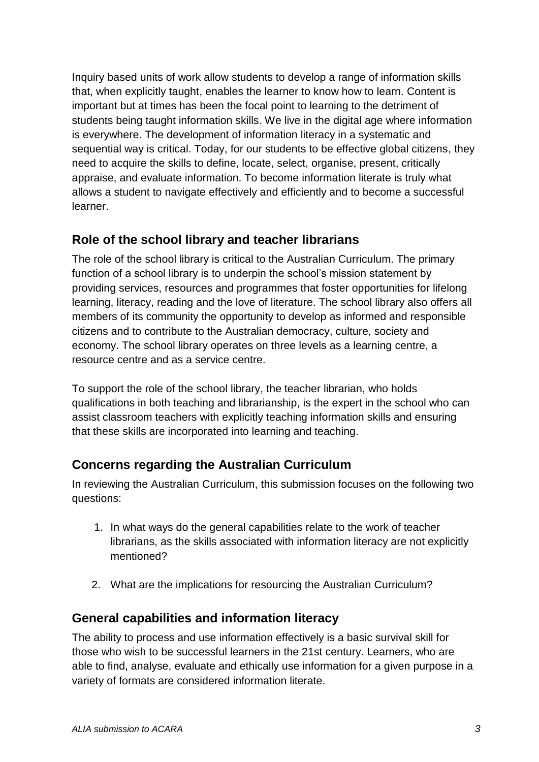Inquiry based units of work allow students to develop a range of information skills that, when explicitly taught, enables the learner to know how to learn. Content is important but at times has been the focal point to learning to the detriment of students being taught information skills. We live in the digital age where information is everywhere. The development of information literacy in a systematic and sequential way is critical. Today, for our students to be effective global citizens, they need to acquire the skills to define, locate, select, organise, present, critically appraise, and evaluate information. To become information literate is truly what allows a student to navigate effectively and efficiently and to become a successful learner.

### <span id="page-2-0"></span>**Role of the school library and teacher librarians**

The role of the school library is critical to the Australian Curriculum. The primary function of a school library is to underpin the school's mission statement by providing services, resources and programmes that foster opportunities for lifelong learning, literacy, reading and the love of literature. The school library also offers all members of its community the opportunity to develop as informed and responsible citizens and to contribute to the Australian democracy, culture, society and economy. The school library operates on three levels as a learning centre, a resource centre and as a service centre.

To support the role of the school library, the teacher librarian, who holds qualifications in both teaching and librarianship, is the expert in the school who can assist classroom teachers with explicitly teaching information skills and ensuring that these skills are incorporated into learning and teaching.

# <span id="page-2-1"></span>**Concerns regarding the Australian Curriculum**

In reviewing the Australian Curriculum, this submission focuses on the following two questions:

- 1. In what ways do the general capabilities relate to the work of teacher librarians, as the skills associated with information literacy are not explicitly mentioned?
- 2. What are the implications for resourcing the Australian Curriculum?

### <span id="page-2-2"></span>**General capabilities and information literacy**

The ability to process and use information effectively is a basic survival skill for those who wish to be successful learners in the 21st century. Learners, who are able to find, analyse, evaluate and ethically use information for a given purpose in a variety of formats are considered information literate.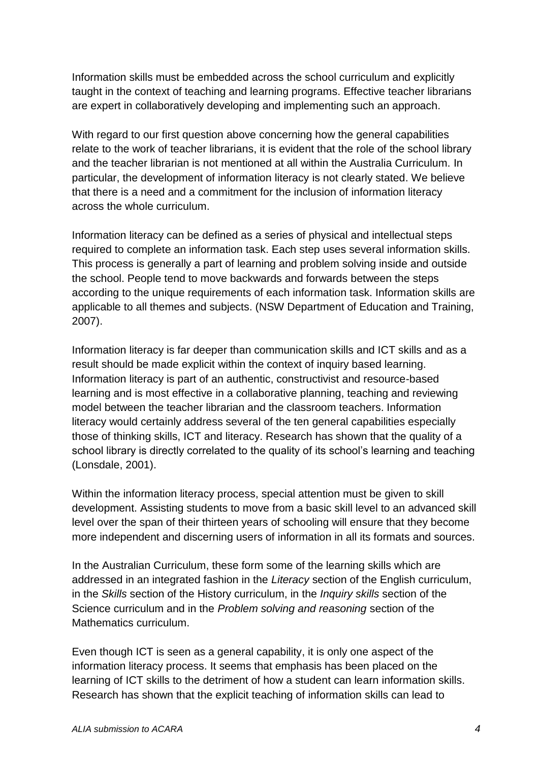Information skills must be embedded across the school curriculum and explicitly taught in the context of teaching and learning programs. Effective teacher librarians are expert in collaboratively developing and implementing such an approach.

With regard to our first question above concerning how the general capabilities relate to the work of teacher librarians, it is evident that the role of the school library and the teacher librarian is not mentioned at all within the Australia Curriculum. In particular, the development of information literacy is not clearly stated. We believe that there is a need and a commitment for the inclusion of information literacy across the whole curriculum.

Information literacy can be defined as a series of physical and intellectual steps required to complete an information task. Each step uses several information skills. This process is generally a part of learning and problem solving inside and outside the school. People tend to move backwards and forwards between the steps according to the unique requirements of each information task. Information skills are applicable to all themes and subjects. (NSW Department of Education and Training, 2007).

Information literacy is far deeper than communication skills and ICT skills and as a result should be made explicit within the context of inquiry based learning. Information literacy is part of an authentic, constructivist and resource-based learning and is most effective in a collaborative planning, teaching and reviewing model between the teacher librarian and the classroom teachers. Information literacy would certainly address several of the ten general capabilities especially those of thinking skills, ICT and literacy. Research has shown that the quality of a school library is directly correlated to the quality of its school's learning and teaching (Lonsdale, 2001).

Within the information literacy process, special attention must be given to skill development. Assisting students to move from a basic skill level to an advanced skill level over the span of their thirteen years of schooling will ensure that they become more independent and discerning users of information in all its formats and sources.

In the Australian Curriculum, these form some of the learning skills which are addressed in an integrated fashion in the *Literacy* section of the English curriculum, in the *Skills* section of the History curriculum, in the *Inquiry skills* section of the Science curriculum and in the *Problem solving and reasoning* section of the Mathematics curriculum.

Even though ICT is seen as a general capability, it is only one aspect of the information literacy process. It seems that emphasis has been placed on the learning of ICT skills to the detriment of how a student can learn information skills. Research has shown that the explicit teaching of information skills can lead to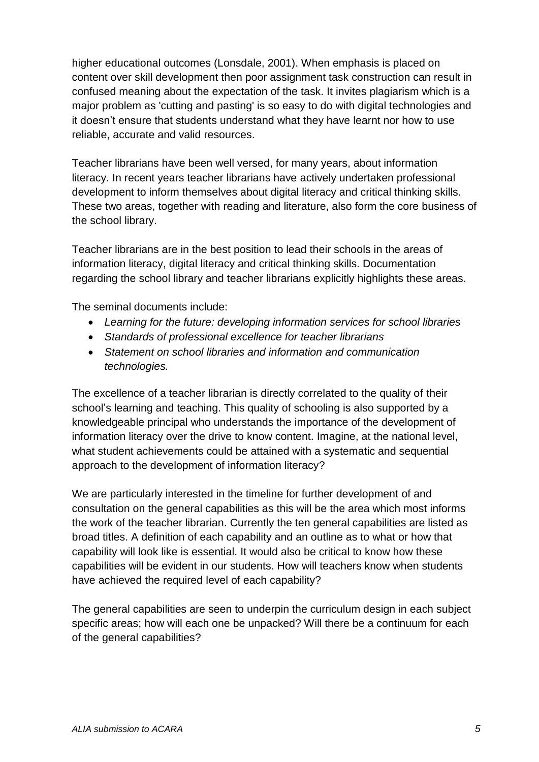higher educational outcomes (Lonsdale, 2001). When emphasis is placed on content over skill development then poor assignment task construction can result in confused meaning about the expectation of the task. It invites plagiarism which is a major problem as 'cutting and pasting' is so easy to do with digital technologies and it doesn't ensure that students understand what they have learnt nor how to use reliable, accurate and valid resources.

Teacher librarians have been well versed, for many years, about information literacy. In recent years teacher librarians have actively undertaken professional development to inform themselves about digital literacy and critical thinking skills. These two areas, together with reading and literature, also form the core business of the school library.

Teacher librarians are in the best position to lead their schools in the areas of information literacy, digital literacy and critical thinking skills. Documentation regarding the school library and teacher librarians explicitly highlights these areas.

The seminal documents include:

- *Learning for the future: developing information services for school libraries*
- *Standards of professional excellence for teacher librarians*
- *Statement on school libraries and information and communication technologies.*

The excellence of a teacher librarian is directly correlated to the quality of their school's learning and teaching. This quality of schooling is also supported by a knowledgeable principal who understands the importance of the development of information literacy over the drive to know content. Imagine, at the national level, what student achievements could be attained with a systematic and sequential approach to the development of information literacy?

We are particularly interested in the timeline for further development of and consultation on the general capabilities as this will be the area which most informs the work of the teacher librarian. Currently the ten general capabilities are listed as broad titles. A definition of each capability and an outline as to what or how that capability will look like is essential. It would also be critical to know how these capabilities will be evident in our students. How will teachers know when students have achieved the required level of each capability?

The general capabilities are seen to underpin the curriculum design in each subject specific areas; how will each one be unpacked? Will there be a continuum for each of the general capabilities?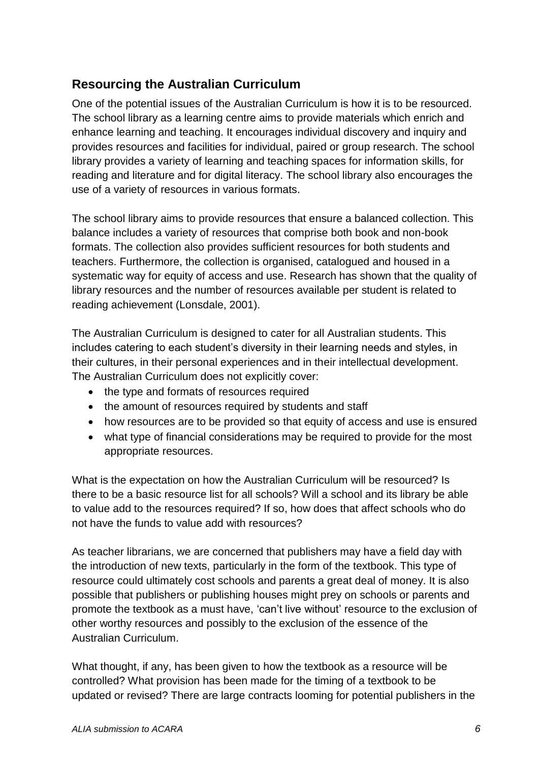# <span id="page-5-0"></span>**Resourcing the Australian Curriculum**

One of the potential issues of the Australian Curriculum is how it is to be resourced. The school library as a learning centre aims to provide materials which enrich and enhance learning and teaching. It encourages individual discovery and inquiry and provides resources and facilities for individual, paired or group research. The school library provides a variety of learning and teaching spaces for information skills, for reading and literature and for digital literacy. The school library also encourages the use of a variety of resources in various formats.

The school library aims to provide resources that ensure a balanced collection. This balance includes a variety of resources that comprise both book and non-book formats. The collection also provides sufficient resources for both students and teachers. Furthermore, the collection is organised, catalogued and housed in a systematic way for equity of access and use. Research has shown that the quality of library resources and the number of resources available per student is related to reading achievement (Lonsdale, 2001).

The Australian Curriculum is designed to cater for all Australian students. This includes catering to each student's diversity in their learning needs and styles, in their cultures, in their personal experiences and in their intellectual development. The Australian Curriculum does not explicitly cover:

- the type and formats of resources required
- the amount of resources required by students and staff
- how resources are to be provided so that equity of access and use is ensured
- what type of financial considerations may be required to provide for the most appropriate resources.

What is the expectation on how the Australian Curriculum will be resourced? Is there to be a basic resource list for all schools? Will a school and its library be able to value add to the resources required? If so, how does that affect schools who do not have the funds to value add with resources?

As teacher librarians, we are concerned that publishers may have a field day with the introduction of new texts, particularly in the form of the textbook. This type of resource could ultimately cost schools and parents a great deal of money. It is also possible that publishers or publishing houses might prey on schools or parents and promote the textbook as a must have, 'can't live without' resource to the exclusion of other worthy resources and possibly to the exclusion of the essence of the Australian Curriculum.

What thought, if any, has been given to how the textbook as a resource will be controlled? What provision has been made for the timing of a textbook to be updated or revised? There are large contracts looming for potential publishers in the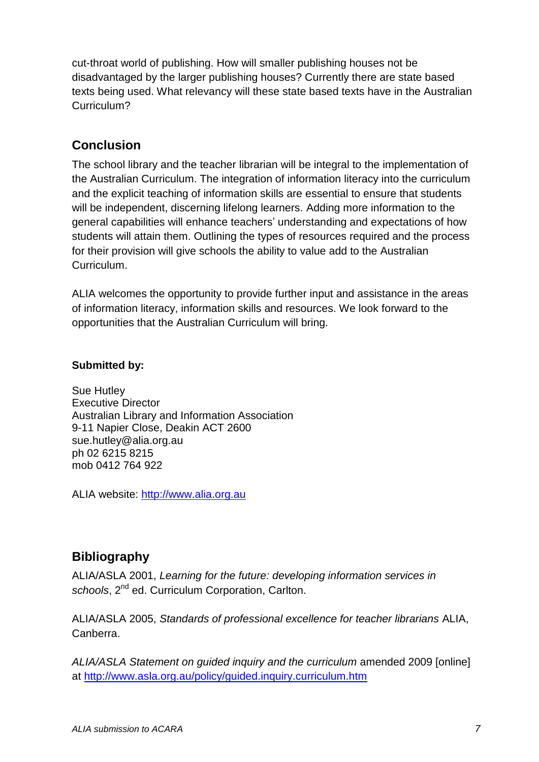cut-throat world of publishing. How will smaller publishing houses not be disadvantaged by the larger publishing houses? Currently there are state based texts being used. What relevancy will these state based texts have in the Australian Curriculum?

# <span id="page-6-0"></span>**Conclusion**

The school library and the teacher librarian will be integral to the implementation of the Australian Curriculum. The integration of information literacy into the curriculum and the explicit teaching of information skills are essential to ensure that students will be independent, discerning lifelong learners. Adding more information to the general capabilities will enhance teachers' understanding and expectations of how students will attain them. Outlining the types of resources required and the process for their provision will give schools the ability to value add to the Australian **Curriculum** 

ALIA welcomes the opportunity to provide further input and assistance in the areas of information literacy, information skills and resources. We look forward to the opportunities that the Australian Curriculum will bring.

#### **Submitted by:**

Sue Hutley Executive Director Australian Library and Information Association 9-11 Napier Close, Deakin ACT 2600 [sue.hutley@alia.org.au](mailto:sue.hutley@alia.org.au) ph 02 6215 8215 mob 0412 764 922

ALIA website: [http://www.alia.org.au](http://www.alia.org.au/)

### <span id="page-6-1"></span>**Bibliography**

ALIA/ASLA 2001, *Learning for the future: developing information services in*  schools, 2<sup>nd</sup> ed. Curriculum Corporation, Carlton.

ALIA/ASLA 2005, *Standards of professional excellence for teacher librarians* ALIA, Canberra.

*ALIA/ASLA Statement on guided inquiry and the curriculum* amended 2009 [online] at<http://www.asla.org.au/policy/guided.inquiry.curriculum.htm>